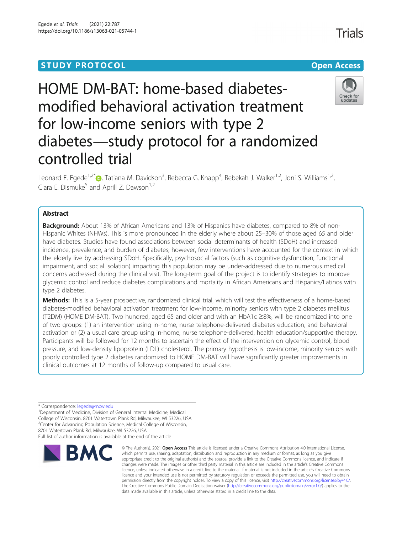## **STUDY PROTOCOL CONSUMING THE RESERVE ACCESS**

# HOME DM-BAT: home-based diabetesmodified behavioral activation treatment for low-income seniors with type 2 diabetes—study protocol for a randomized controlled trial

Leonard E. Egede<sup>1,2\*</sup>®, Tatiana M. Davidson<sup>3</sup>, Rebecca G. Knapp<sup>4</sup>, Rebekah J. Walker<sup>1,2</sup>, Joni S. Williams<sup>1,2</sup>, Clara E. Dismuke<sup>5</sup> and Aprill Z. Dawson<sup>1,2</sup>

## Abstract

**Background:** About 13% of African Americans and 13% of Hispanics have diabetes, compared to 8% of non-Hispanic Whites (NHWs). This is more pronounced in the elderly where about 25–30% of those aged 65 and older have diabetes. Studies have found associations between social determinants of health (SDoH) and increased incidence, prevalence, and burden of diabetes; however, few interventions have accounted for the context in which the elderly live by addressing SDoH. Specifically, psychosocial factors (such as cognitive dysfunction, functional impairment, and social isolation) impacting this population may be under-addressed due to numerous medical concerns addressed during the clinical visit. The long-term goal of the project is to identify strategies to improve glycemic control and reduce diabetes complications and mortality in African Americans and Hispanics/Latinos with type 2 diabetes.

Methods: This is a 5-year prospective, randomized clinical trial, which will test the effectiveness of a home-based diabetes-modified behavioral activation treatment for low-income, minority seniors with type 2 diabetes mellitus (T2DM) (HOME DM-BAT). Two hundred, aged 65 and older and with an HbA1c ≥8%, will be randomized into one of two groups: (1) an intervention using in-home, nurse telephone-delivered diabetes education, and behavioral activation or (2) a usual care group using in-home, nurse telephone-delivered, health education/supportive therapy. Participants will be followed for 12 months to ascertain the effect of the intervention on glycemic control, blood pressure, and low-density lipoprotein (LDL) cholesterol. The primary hypothesis is low-income, minority seniors with poorly controlled type 2 diabetes randomized to HOME DM-BAT will have significantly greater improvements in clinical outcomes at 12 months of follow-up compared to usual care.

\* Correspondence: [legede@mcw.edu](mailto:legede@mcw.edu) <sup>1</sup>

<sup>1</sup> Department of Medicine, Division of General Internal Medicine, Medical College of Wisconsin, 8701 Watertown Plank Rd, Milwaukee, WI 53226, USA <sup>2</sup>Center for Advancing Population Science, Medical College of Wisconsin, 8701 Watertown Plank Rd, Milwaukee, WI 53226, USA

Full list of author information is available at the end of the article

**BMC** 

#### © The Author(s), 2021 **Open Access** This article is licensed under a Creative Commons Attribution 4.0 International License, which permits use, sharing, adaptation, distribution and reproduction in any medium or format, as long as you give appropriate credit to the original author(s) and the source, provide a link to the Creative Commons licence, and indicate if changes were made. The images or other third party material in this article are included in the article's Creative Commons licence, unless indicated otherwise in a credit line to the material. If material is not included in the article's Creative Commons licence and your intended use is not permitted by statutory regulation or exceeds the permitted use, you will need to obtain permission directly from the copyright holder. To view a copy of this licence, visit [http://creativecommons.org/licenses/by/4.0/.](http://creativecommons.org/licenses/by/4.0/) The Creative Commons Public Domain Dedication waiver [\(http://creativecommons.org/publicdomain/zero/1.0/](http://creativecommons.org/publicdomain/zero/1.0/)) applies to the data made available in this article, unless otherwise stated in a credit line to the data.

Egede et al. Trials (2021) 22:787 https://doi.org/10.1186/s13063-021-05744-1



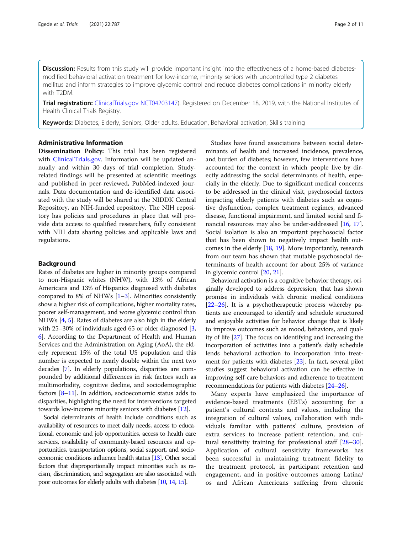Discussion: Results from this study will provide important insight into the effectiveness of a home-based diabetesmodified behavioral activation treatment for low-income, minority seniors with uncontrolled type 2 diabetes mellitus and inform strategies to improve glycemic control and reduce diabetes complications in minority elderly with T2DM.

Trial registration: [ClinicalTrials.gov](http://clinicaltrials.gov) [NCT04203147](https://clinicaltrials.gov/ct2/show/NCT04203147?term=NCT04203147&draw=2&rank=1)). Registered on December 18, 2019, with the National Institutes of Health Clinical Trials Registry.

Keywords: Diabetes, Elderly, Seniors, Older adults, Education, Behavioral activation, Skills training

## Administrative Information

Dissemination Policy: This trial has been registered with [ClinicalTrials.gov](http://clinicaltrials.gov). Information will be updated annually and within 30 days of trial completion. Studyrelated findings will be presented at scientific meetings and published in peer-reviewed, PubMed-indexed journals. Data documentation and de-identified data associated with the study will be shared at the NIDDK Central Repository, an NIH-funded repository. The NIH repository has policies and procedures in place that will provide data access to qualified researchers, fully consistent with NIH data sharing policies and applicable laws and regulations.

## Background

Rates of diabetes are higher in minority groups compared to non-Hispanic whites (NHW), with 13% of African Americans and 13% of Hispanics diagnosed with diabetes compared to 8% of NHWs  $[1–3]$  $[1–3]$  $[1–3]$  $[1–3]$ . Minorities consistently show a higher risk of complications, higher mortality rates, poorer self-management, and worse glycemic control than NHWs [\[4,](#page-8-0) [5\]](#page-8-0). Rates of diabetes are also high in the elderly with 25–[3](#page-8-0)0% of individuals aged 65 or older diagnosed [3, [6\]](#page-8-0). According to the Department of Health and Human Services and the Administration on Aging (AoA), the elderly represent 15% of the total US population and this number is expected to nearly double within the next two decades [[7](#page-8-0)]. In elderly populations, disparities are compounded by additional differences in risk factors such as multimorbidity, cognitive decline, and sociodemographic factors [\[8](#page-8-0)–[11\]](#page-8-0). In addition, socioeconomic status adds to disparities, highlighting the need for interventions targeted towards low-income minority seniors with diabetes [[12](#page-8-0)].

Social determinants of health include conditions such as availability of resources to meet daily needs, access to educational, economic and job opportunities, access to health care services, availability of community-based resources and opportunities, transportation options, social support, and socioeconomic conditions influence health status [\[13\]](#page-8-0). Other social factors that disproportionally impact minorities such as racism, discrimination, and segregation are also associated with poor outcomes for elderly adults with diabetes [\[10,](#page-8-0) [14,](#page-8-0) [15](#page-8-0)].

Studies have found associations between social determinants of health and increased incidence, prevalence, and burden of diabetes; however, few interventions have accounted for the context in which people live by directly addressing the social determinants of health, especially in the elderly. Due to significant medical concerns to be addressed in the clinical visit, psychosocial factors impacting elderly patients with diabetes such as cognitive dysfunction, complex treatment regimes, advanced disease, functional impairment, and limited social and financial resources may also be under-addressed [[16,](#page-8-0) [17](#page-8-0)]. Social isolation is also an important psychosocial factor that has been shown to negatively impact health outcomes in the elderly [[18](#page-8-0), [19](#page-8-0)]. More importantly, research from our team has shown that mutable psychosocial determinants of health account for about 25% of variance in glycemic control [[20,](#page-8-0) [21](#page-9-0)].

Behavioral activation is a cognitive behavior therapy, originally developed to address depression, that has shown promise in individuals with chronic medical conditions [[22](#page-9-0)–[26\]](#page-9-0). It is a psychotherapeutic process whereby patients are encouraged to identify and schedule structured and enjoyable activities for behavior change that is likely to improve outcomes such as mood, behaviors, and quality of life [\[27\]](#page-9-0). The focus on identifying and increasing the incorporation of activities into a patient's daily schedule lends behavioral activation to incorporation into treatment for patients with diabetes [\[23\]](#page-9-0). In fact, several pilot studies suggest behavioral activation can be effective in improving self-care behaviors and adherence to treatment recommendations for patients with diabetes [[24](#page-9-0)–[26\]](#page-9-0).

Many experts have emphasized the importance of evidence-based treatments (EBTs) accounting for a patient's cultural contexts and values, including the integration of cultural values, collaboration with individuals familiar with patients' culture, provision of extra services to increase patient retention, and cultural sensitivity training for professional staff [\[28](#page-9-0)–[30](#page-9-0)]. Application of cultural sensitivity frameworks has been successful in maintaining treatment fidelity to the treatment protocol, in participant retention and engagement, and in positive outcomes among Latina/ os and African Americans suffering from chronic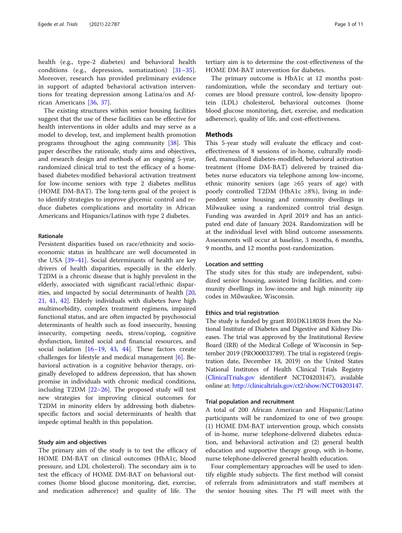health (e.g., type-2 diabetes) and behavioral health conditions (e.g., depression, somatization) [\[31](#page-9-0)–[35](#page-9-0)]. Moreover, research has provided preliminary evidence in support of adapted behavioral activation interventions for treating depression among Latina/os and African Americans [\[36](#page-9-0), [37](#page-9-0)].

The existing structures within senior housing facilities suggest that the use of these facilities can be effective for health interventions in older adults and may serve as a model to develop, test, and implement health promotion programs throughout the aging community [\[38\]](#page-9-0). This paper describes the rationale, study aims and objectives, and research design and methods of an ongoing 5-year, randomized clinical trial to test the efficacy of a homebased diabetes-modified behavioral activation treatment for low-income seniors with type 2 diabetes mellitus (HOME DM-BAT). The long-term goal of the project is to identify strategies to improve glycemic control and reduce diabetes complications and mortality in African Americans and Hispanics/Latinos with type 2 diabetes.

## Rationale

Persistent disparities based on race/ethnicity and socioeconomic status in healthcare are well documented in the USA [[39](#page-9-0)–[41](#page-9-0)]. Social determinants of health are key drivers of health disparities, especially in the elderly. T2DM is a chronic disease that is highly prevalent in the elderly, associated with significant racial/ethnic disparities, and impacted by social determinants of health [[20](#page-8-0), [21,](#page-9-0) [41,](#page-9-0) [42](#page-9-0)]. Elderly individuals with diabetes have high multimorbidity, complex treatment regimens, impaired functional status, and are often impacted by psychosocial determinants of health such as food insecurity, housing insecurity, competing needs, stress/coping, cognitive dysfunction, limited social and financial resources, and social isolation [\[16](#page-8-0)–[19,](#page-8-0) [43,](#page-9-0) [44\]](#page-9-0). These factors create challenges for lifestyle and medical management [\[6](#page-8-0)]. Behavioral activation is a cognitive behavior therapy, originally developed to address depression, that has shown promise in individuals with chronic medical conditions, including T2DM [\[22](#page-9-0)–[26\]](#page-9-0). The proposed study will test new strategies for improving clinical outcomes for T2DM in minority elders by addressing both diabetesspecific factors and social determinants of health that impede optimal health in this population.

## Study aim and objectives

The primary aim of the study is to test the efficacy of HOME DM-BAT on clinical outcomes (HbA1c, blood pressure, and LDL cholesterol). The secondary aim is to test the efficacy of HOME DM-BAT on behavioral outcomes (home blood glucose monitoring, diet, exercise, and medication adherence) and quality of life. The

tertiary aim is to determine the cost-effectiveness of the HOME DM-BAT intervention for diabetes.

The primary outcome is HbA1c at 12 months postrandomization, while the secondary and tertiary outcomes are blood pressure control, low-density lipoprotein (LDL) cholesterol, behavioral outcomes (home blood glucose monitoring, diet, exercise, and medication adherence), quality of life, and cost-effectiveness.

## **Methods**

This 5-year study will evaluate the efficacy and costeffectiveness of 8 sessions of in-home, culturally modified, manualized diabetes-modified, behavioral activation treatment (Home DM-BAT) delivered by trained diabetes nurse educators via telephone among low-income, ethnic minority seniors (age ≥65 years of age) with poorly controlled T2DM (HbA1c ≥8%), living in independent senior housing and community dwellings in Milwaukee using a randomized control trial design. Funding was awarded in April 2019 and has an anticipated end date of January 2024. Randomization will be at the individual level with blind outcome assessments. Assessments will occur at baseline, 3 months, 6 months, 9 months, and 12 months post-randomization.

## Location and settting

The study sites for this study are independent, subsidized senior housing, assisted living facilities, and community dwellings in low-income and high minority zip codes in Milwaukee, Wisconsin.

## Ethics and trial registration

The study is funded by grant R01DK118038 from the National Institute of Diabetes and Digestive and Kidney Diseases. The trial was approved by the Institutional Review Board (IRB) of the Medical College of Wisconsin in September 2019 (PRO00033789). The trial is registered (registration date, December 18, 2019) on the United States National Institutes of Health Clinical Trials Registry ([ClinicalTrials.gov](http://clinicaltrials.gov) identifier# NCT04203147), available online at: <http://clinicaltrials.gov/ct2/show/NCT04203147>.

## Trial population and recruitment

A total of 200 African American and Hispanic/Latino participants will be randomized to one of two groups: (1) HOME DM-BAT intervention group, which consists of in-home, nurse telephone-delivered diabetes education, and behavioral activation and (2) general health education and supportive therapy group, with in-home, nurse telephone-delivered general health education.

Four complementary approaches will be used to identify eligible study subjects. The first method will consist of referrals from administrators and staff members at the senior housing sites. The PI will meet with the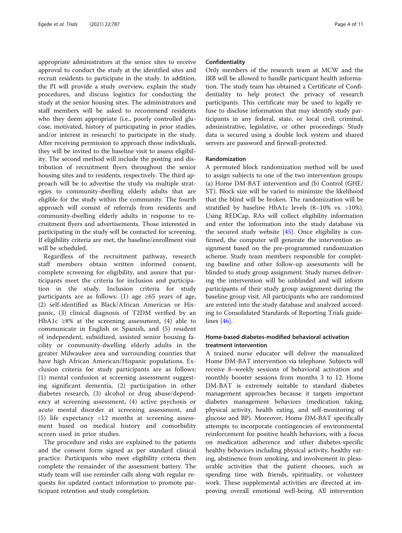appropriate administrators at the senior sites to receive approval to conduct the study at the identified sites and recruit residents to participate in the study. In addition, the PI will provide a study overview, explain the study procedures, and discuss logistics for conducting the study at the senior housing sites. The administrators and staff members will be asked to recommend residents who they deem appropriate (i.e., poorly controlled glucose, motivated, history of participating in prior studies, and/or interest in research) to participate in the study. After receiving permission to approach those individuals, they will be invited to the baseline visit to assess eligibility. The second method will include the posting and distribution of recruitment flyers throughout the senior housing sites and to residents, respectively. The third approach will be to advertise the study via multiple strategies to community-dwelling elderly adults that are eligible for the study within the community. The fourth approach will consist of referrals from residents and community-dwelling elderly adults in response to recruitment flyers and advertisements. Those interested in participating in the study will be contacted for screening. If eligibility criteria are met, the baseline/enrollment visit will be scheduled.

Regardless of the recruitment pathway, research staff members obtain written informed consent, complete screening for eligibility, and assure that participants meet the criteria for inclusion and participation in the study. Inclusion criteria for study participants are as follows: (1) age  $\geq 65$  years of age, (2) self-identified as Black/African American or Hispanic, (3) clinical diagnosis of T2DM verified by an HbA1c ≥8% at the screening assessment,  $(4)$  able to communicate in English or Spanish, and (5) resident of independent, subsidized, assisted senior housing facility or community-dwelling elderly adults in the greater Milwaukee area and surrounding counties that have high African American/Hispanic populations. Exclusion criteria for study participants are as follows: (1) mental confusion at screening assessment suggesting significant dementia, (2) participation in other diabetes research, (3) alcohol or drug abuse/dependency at screening assessment, (4) active psychosis or acute mental disorder at screening assessment, and (5) life expectancy <12 months at screening assessment based on medical history and comorbidity screen used in prior studies.

The procedure and risks are explained to the patients and the consent form signed as per standard clinical practice. Participants who meet eligibility criteria then complete the remainder of the assessment battery. The study team will use reminder calls along with regular requests for updated contact information to promote participant retention and study completion.

## Confidentiality

Only members of the research team at MCW and the IRB will be allowed to handle participant health information. The study team has obtained a Certificate of Confidentiality to help protect the privacy of research participants. This certificate may be used to legally refuse to disclose information that may identify study participants in any federal, state, or local civil, criminal, administrative, legislative, or other proceedings. Study data is secured using a double lock system and shared servers are password and firewall-protected.

#### Randomization

A permuted block randomization method will be used to assign subjects to one of the two intervention groups: (a) Home DM-BAT intervention and (b) Control (GHE/ ST). Block size will be varied to minimize the likelihood that the blind will be broken. The randomization will be stratified by baseline HbA1c levels (8–10% vs. >10%). Using REDCap, RAs will collect eligibility information and enter the information into the study database via the secured study website  $[45]$  $[45]$ . Once eligibility is confirmed, the computer will generate the intervention assignment based on the pre-programmed randomization scheme. Study team members responsible for completing baseline and other follow-up assessments will be blinded to study group assignment. Study nurses delivering the intervention will be unblinded and will inform participants of their study group assignment during the baseline group visit. All participants who are randomized are entered into the study database and analyzed according to Consolidated Standards of Reporting Trials guidelines [[46](#page-9-0)].

## Home-based diabetes-modified behavioral activation treatment intervention

A trained nurse educator will deliver the manualized Home DM-BAT intervention via telephone. Subjects will receive 8–weekly sessions of behavioral activation and monthly booster sessions from months 3 to 12. Home DM-BAT is extremely suitable to standard diabetes management approaches because it targets important diabetes management behaviors (medication taking, physical activity, health eating, and self-monitoring of glucose and BP). Moreover, Home DM-BAT specifically attempts to incorporate contingencies of environmental reinforcement for positive health behaviors, with a focus on medication adherence and other diabetes-specific healthy behaviors including physical activity, healthy eating, abstinence from smoking, and involvement in pleasurable activities that the patient chooses, such as spending time with friends, spirituality, or volunteer work. These supplemental activities are directed at improving overall emotional well-being. All intervention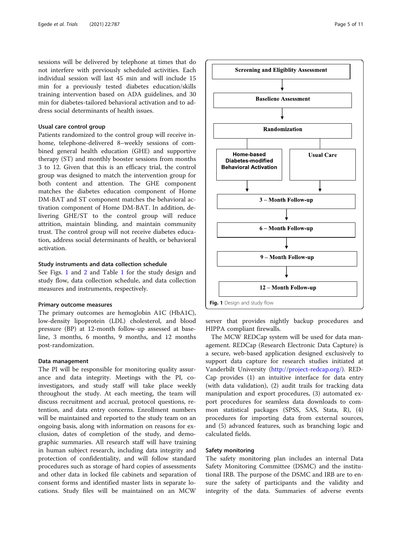sessions will be delivered by telephone at times that do not interfere with previously scheduled activities. Each individual session will last 45 min and will include 15 min for a previously tested diabetes education/skills training intervention based on ADA guidelines, and 30 min for diabetes-tailored behavioral activation and to address social determinants of health issues.

## Usual care control group

Patients randomized to the control group will receive inhome, telephone-delivered 8–weekly sessions of combined general health education (GHE) and supportive therapy (ST) and monthly booster sessions from months 3 to 12. Given that this is an efficacy trial, the control group was designed to match the intervention group for both content and attention. The GHE component matches the diabetes education component of Home DM-BAT and ST component matches the behavioral activation component of Home DM-BAT. In addition, delivering GHE/ST to the control group will reduce attrition, maintain blinding, and maintain community trust. The control group will not receive diabetes education, address social determinants of health, or behavioral activation.

## Study instruments and data collection schedule

See Figs. 1 and [2](#page-5-0) and Table [1](#page-6-0) for the study design and study flow, data collection schedule, and data collection measures and instruments, respectively.

## Primary outcome measures

The primary outcomes are hemoglobin A1C (HbA1C), low-density lipoprotein (LDL) cholesterol, and blood pressure (BP) at 12-month follow-up assessed at baseline, 3 months, 6 months, 9 months, and 12 months post-randomization.

## Data management

The PI will be responsible for monitoring quality assurance and data integrity. Meetings with the PI, coinvestigators, and study staff will take place weekly throughout the study. At each meeting, the team will discuss recruitment and accrual, protocol questions, retention, and data entry concerns. Enrollment numbers will be maintained and reported to the study team on an ongoing basis, along with information on reasons for exclusion, dates of completion of the study, and demographic summaries. All research staff will have training in human subject research, including data integrity and protection of confidentiality, and will follow standard procedures such as storage of hard copies of assessments and other data in locked file cabinets and separation of consent forms and identified master lists in separate locations. Study files will be maintained on an MCW



server that provides nightly backup procedures and HIPPA compliant firewalls.

The MCW REDCap system will be used for data management. REDCap (Research Electronic Data Capture) is a secure, web-based application designed exclusively to support data capture for research studies initiated at Vanderbilt University (<http://project-redcap.org/>). RED-Cap provides (1) an intuitive interface for data entry (with data validation), (2) audit trails for tracking data manipulation and export procedures, (3) automated export procedures for seamless data downloads to common statistical packages (SPSS, SAS, Stata, R), (4) procedures for importing data from external sources, and (5) advanced features, such as branching logic and calculated fields.

## Safety monitoring

The safety monitoring plan includes an internal Data Safety Monitoring Committee (DSMC) and the institutional IRB. The purpose of the DSMC and IRB are to ensure the safety of participants and the validity and integrity of the data. Summaries of adverse events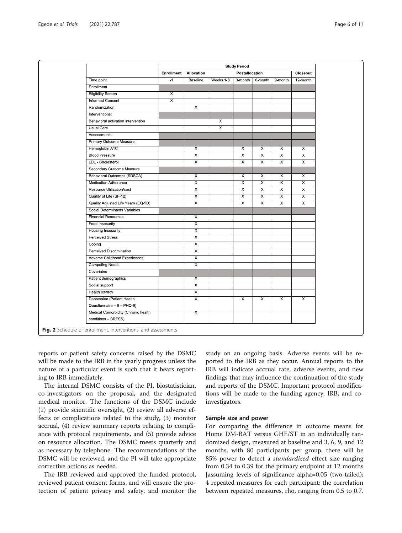<span id="page-5-0"></span>

| Time point<br>Enrollment<br><b>Eligibility Screen</b><br><b>Informed Consent</b><br>Randomization<br>Interventions:<br>Behavioral activation intervention<br><b>Usual Care</b><br>Assessments:<br>Primary Outcome Measure | Enrollment<br>$-1$<br>$\overline{\mathsf{x}}$<br>$\overline{\mathsf{x}}$ | Allocation<br>Baseline<br>$\overline{X}$ | Weeks 1-8<br>X<br>$\overline{\mathsf{x}}$ | Postallocation<br>3-month | 6-month                 | 9-month                 | Closeout<br>12-month    |
|---------------------------------------------------------------------------------------------------------------------------------------------------------------------------------------------------------------------------|--------------------------------------------------------------------------|------------------------------------------|-------------------------------------------|---------------------------|-------------------------|-------------------------|-------------------------|
|                                                                                                                                                                                                                           |                                                                          |                                          |                                           |                           |                         |                         |                         |
|                                                                                                                                                                                                                           |                                                                          |                                          |                                           |                           |                         |                         |                         |
|                                                                                                                                                                                                                           |                                                                          |                                          |                                           |                           |                         |                         |                         |
|                                                                                                                                                                                                                           |                                                                          |                                          |                                           |                           |                         |                         |                         |
|                                                                                                                                                                                                                           |                                                                          |                                          |                                           |                           |                         |                         |                         |
|                                                                                                                                                                                                                           |                                                                          |                                          |                                           |                           |                         |                         |                         |
|                                                                                                                                                                                                                           |                                                                          |                                          |                                           |                           |                         |                         |                         |
|                                                                                                                                                                                                                           |                                                                          |                                          |                                           |                           |                         |                         |                         |
|                                                                                                                                                                                                                           |                                                                          |                                          |                                           |                           |                         |                         |                         |
|                                                                                                                                                                                                                           |                                                                          |                                          |                                           |                           |                         |                         |                         |
|                                                                                                                                                                                                                           |                                                                          |                                          |                                           |                           |                         |                         |                         |
| Hemoglobin A1C                                                                                                                                                                                                            |                                                                          | X                                        |                                           | X                         | X                       | X                       | X                       |
| <b>Blood Pressure</b>                                                                                                                                                                                                     |                                                                          | $\overline{\mathsf{x}}$                  |                                           | $\overline{\mathsf{x}}$   | $\overline{\mathsf{x}}$ | $\overline{\mathsf{x}}$ | $\overline{\mathsf{x}}$ |
| LDL - Cholesterol                                                                                                                                                                                                         |                                                                          | $\overline{\mathsf{x}}$                  |                                           | $\overline{\mathsf{x}}$   | X                       | X                       | $\overline{\mathsf{x}}$ |
| Secondary Outcome Measure                                                                                                                                                                                                 |                                                                          |                                          |                                           |                           |                         |                         |                         |
| <b>Behavioral Outcomes (SDSCA)</b>                                                                                                                                                                                        |                                                                          | X                                        |                                           | X                         | Х                       | X                       | X                       |
| <b>Medication Adherence</b>                                                                                                                                                                                               |                                                                          | $\overline{\mathsf{x}}$                  |                                           | $\overline{\mathsf{x}}$   | $\overline{\mathsf{x}}$ | $\overline{\mathsf{x}}$ | $\overline{\mathsf{x}}$ |
| Resource Utilization/cost                                                                                                                                                                                                 |                                                                          | $\overline{\mathsf{x}}$                  |                                           | $\overline{x}$            | $\overline{\mathsf{x}}$ | $\overline{x}$          | $\overline{\mathsf{x}}$ |
| Quality of Life (SF-12)                                                                                                                                                                                                   |                                                                          | $\overline{\mathsf{x}}$                  |                                           | $\overline{x}$            | $\overline{\mathsf{x}}$ | $\overline{x}$          | $\overline{\mathsf{x}}$ |
| Quality Adjusted Life Years (EQ-5D)                                                                                                                                                                                       |                                                                          | $\overline{\mathsf{x}}$                  |                                           | $\overline{\mathsf{x}}$   | $\overline{\mathsf{x}}$ | $\overline{\mathsf{x}}$ | $\overline{\mathsf{x}}$ |
| Social Determinants Variables                                                                                                                                                                                             |                                                                          |                                          |                                           |                           |                         |                         |                         |
| <b>Financial Resources</b>                                                                                                                                                                                                |                                                                          | X                                        |                                           |                           |                         |                         |                         |
| Food Insecurity                                                                                                                                                                                                           |                                                                          | $\overline{\mathsf{x}}$                  |                                           |                           |                         |                         |                         |
| <b>Housing Insecurity</b>                                                                                                                                                                                                 |                                                                          | $\overline{\mathsf{x}}$                  |                                           |                           |                         |                         |                         |
| <b>Perceived Stress</b>                                                                                                                                                                                                   |                                                                          | $\overline{\mathsf{x}}$                  |                                           |                           |                         |                         |                         |
| Coping                                                                                                                                                                                                                    |                                                                          | X                                        |                                           |                           |                         |                         |                         |
| Perceived Discrimination                                                                                                                                                                                                  |                                                                          | X                                        |                                           |                           |                         |                         |                         |
| Adverse Childhood Experiences                                                                                                                                                                                             |                                                                          | $\overline{\mathsf{x}}$                  |                                           |                           |                         |                         |                         |
| <b>Competing Needs</b>                                                                                                                                                                                                    |                                                                          | $\overline{\mathsf{x}}$                  |                                           |                           |                         |                         |                         |
| Covariates                                                                                                                                                                                                                |                                                                          |                                          |                                           |                           |                         |                         |                         |
| Patient demographics                                                                                                                                                                                                      |                                                                          | $\overline{\mathsf{x}}$                  |                                           |                           |                         |                         |                         |
| Social support                                                                                                                                                                                                            |                                                                          | $\overline{\mathsf{x}}$                  |                                           |                           |                         |                         |                         |
| Health literacy                                                                                                                                                                                                           |                                                                          | $\overline{\mathsf{x}}$                  |                                           |                           |                         |                         |                         |
| Depression (Patient Health                                                                                                                                                                                                |                                                                          | $\overline{\mathsf{x}}$                  |                                           | $\overline{X}$            | $\overline{\mathsf{x}}$ | $\overline{X}$          | $\overline{\mathsf{x}}$ |
| Questionnaire - 9 - PHQ-9)                                                                                                                                                                                                |                                                                          |                                          |                                           |                           |                         |                         |                         |
| Medical Comorbidity (Chronic health<br>conditions - BRFSS)                                                                                                                                                                |                                                                          | $\overline{\mathsf{x}}$                  |                                           |                           |                         |                         |                         |

reports or patient safety concerns raised by the DSMC will be made to the IRB in the yearly progress unless the nature of a particular event is such that it bears reporting to IRB immediately.

The internal DSMC consists of the PI, biostatistician, co-investigators on the proposal, and the designated medical monitor. The functions of the DSMC include (1) provide scientific oversight, (2) review all adverse effects or complications related to the study, (3) monitor accrual, (4) review summary reports relating to compliance with protocol requirements, and (5) provide advice on resource allocation. The DSMC meets quarterly and as necessary by telephone. The recommendations of the DSMC will be reviewed, and the PI will take appropriate corrective actions as needed.

The IRB reviewed and approved the funded protocol, reviewed patient consent forms, and will ensure the protection of patient privacy and safety, and monitor the

study on an ongoing basis. Adverse events will be reported to the IRB as they occur. Annual reports to the IRB will indicate accrual rate, adverse events, and new findings that may influence the continuation of the study and reports of the DSMC. Important protocol modifications will be made to the funding agency, IRB, and coinvestigators.

## Sample size and power

For comparing the difference in outcome means for Home DM-BAT versus GHE/ST in an individually randomized design, measured at baseline and 3, 6, 9, and 12 months, with 80 participants per group, there will be 85% power to detect a standardized effect size ranging from 0.34 to 0.39 for the primary endpoint at 12 months [assuming levels of significance alpha=0.05 (two-tailed); 4 repeated measures for each participant; the correlation between repeated measures, rho, ranging from 0.5 to 0.7.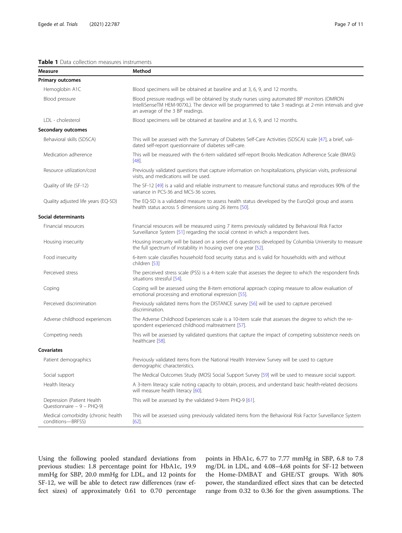## <span id="page-6-0"></span>Table 1 Data collection measures instruments

| Measure                                                     | Method                                                                                                                                                                                                                                     |
|-------------------------------------------------------------|--------------------------------------------------------------------------------------------------------------------------------------------------------------------------------------------------------------------------------------------|
| Primary outcomes                                            |                                                                                                                                                                                                                                            |
| Hemoglobin A1C                                              | Blood specimens will be obtained at baseline and at 3, 6, 9, and 12 months.                                                                                                                                                                |
| Blood pressure                                              | Blood pressure readings will be obtained by study nurses using automated BP monitors (OMRON<br>IntelliSenseTM HEM-907XL). The device will be programmed to take 3 readings at 2-min intervals and give<br>an average of the 3 BP readings. |
| LDL - cholesterol                                           | Blood specimens will be obtained at baseline and at 3, 6, 9, and 12 months.                                                                                                                                                                |
| <b>Secondary outcomes</b>                                   |                                                                                                                                                                                                                                            |
| Behavioral skills (SDSCA)                                   | This will be assessed with the Summary of Diabetes Self-Care Activities (SDSCA) scale [47], a brief, vali-<br>dated self-report questionnaire of diabetes self-care.                                                                       |
| Medication adherence                                        | This will be measured with the 6-item validated self-report Brooks Medication Adherence Scale (BMAS)<br>$[48]$ .                                                                                                                           |
| Resource utilization/cost                                   | Previously validated questions that capture information on hospitalizations, physician visits, professional<br>visits, and medications will be used.                                                                                       |
| Quality of life (SF-12)                                     | The SF-12 [49] is a valid and reliable instrument to measure functional status and reproduces 90% of the<br>variance in PCS-36 and MCS-36 scores.                                                                                          |
| Quality adjusted life years (EQ-5D)                         | The EQ-5D is a validated measure to assess health status developed by the EuroQol group and assess<br>health status across 5 dimensions using 26 items [50].                                                                               |
| Social determinants                                         |                                                                                                                                                                                                                                            |
| Financial resources                                         | Financial resources will be measured using 7 items previously validated by Behavioral Risk Factor<br>Surveillance System [51] regarding the social context in which a respondent lives.                                                    |
| Housing insecurity                                          | Housing insecurity will be based on a series of 6 questions developed by Columbia University to measure<br>the full spectrum of instability in housing over one year [52].                                                                 |
| Food insecurity                                             | 6-item scale classifies household food security status and is valid for households with and without<br>children [53]                                                                                                                       |
| Perceived stress                                            | The perceived stress scale (PSS) is a 4-item scale that assesses the degree to which the respondent finds<br>situations stressful [54].                                                                                                    |
| Coping                                                      | Coping will be assessed using the 8-item emotional approach coping measure to allow evaluation of<br>emotional processing and emotional expression [55].                                                                                   |
| Perceived discrimination                                    | Previously validated items from the DISTANCE survey [56] will be used to capture perceived<br>discrimination.                                                                                                                              |
| Adverse childhood experiences                               | The Adverse Childhood Experiences scale is a 10-item scale that assesses the degree to which the re-<br>spondent experienced childhood maltreatment [57].                                                                                  |
| Competing needs                                             | This will be assessed by validated questions that capture the impact of competing subsistence needs on<br>healthcare [58].                                                                                                                 |
| <b>Covariates</b>                                           |                                                                                                                                                                                                                                            |
| Patient demographics                                        | Previously validated items from the National Health Interview Survey will be used to capture<br>demographic characteristics.                                                                                                               |
| Social support                                              | The Medical Outcomes Study (MOS) Social Support Survey [59] will be used to measure social support.                                                                                                                                        |
| Health literacy                                             | A 3-item literacy scale noting capacity to obtain, process, and understand basic health-related decisions<br>will measure health literacy [60].                                                                                            |
| Depression (Patient Health<br>Questionnaire - $9 - PHQ-9$ ) | This will be assessed by the validated 9-item PHQ-9 [61].                                                                                                                                                                                  |
| Medical comorbidity (chronic health<br>conditions-BRFSS)    | This will be assessed using previously validated items from the Behavioral Risk Factor Surveillance System<br>[62]                                                                                                                         |

Using the following pooled standard deviations from previous studies: 1.8 percentage point for HbA1c, 19.9 mmHg for SBP, 20.0 mmHg for LDL, and 12 points for SF-12, we will be able to detect raw differences (raw effect sizes) of approximately 0.61 to 0.70 percentage points in HbA1c, 6.77 to 7.77 mmHg in SBP, 6.8 to 7.8 mg/DL in LDL, and 4.08–4.68 points for SF-12 between the Home-DMBAT and GHE/ST groups. With 80% power, the standardized effect sizes that can be detected range from 0.32 to 0.36 for the given assumptions. The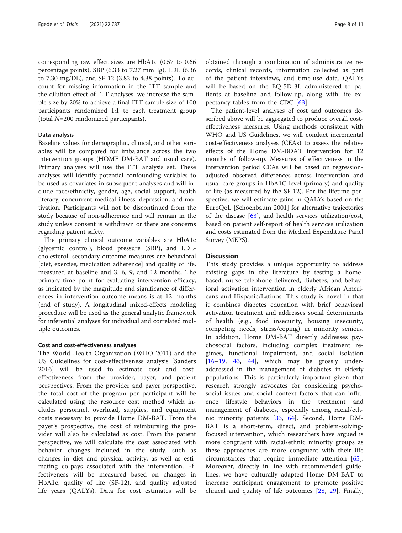corresponding raw effect sizes are HbA1c (0.57 to 0.66 percentage points), SBP (6.33 to 7.27 mmHg), LDL (6.36 to 7.30 mg/DL), and SF-12 (3.82 to 4.38 points). To account for missing information in the ITT sample and the dilution effect of ITT analyses, we increase the sample size by 20% to achieve a final ITT sample size of 100 participants randomized 1:1 to each treatment group (total N=200 randomized participants).

## Data analysis

Baseline values for demographic, clinical, and other variables will be compared for imbalance across the two intervention groups (HOME DM-BAT and usual care). Primary analyses will use the ITT analysis set. These analyses will identify potential confounding variables to be used as covariates in subsequent analyses and will include race/ethnicity, gender, age, social support, health literacy, concurrent medical illness, depression, and motivation. Participants will not be discontinued from the study because of non-adherence and will remain in the study unless consent is withdrawn or there are concerns regarding patient safety.

The primary clinical outcome variables are HbA1c (glycemic control), blood pressure (SBP), and LDLcholesterol; secondary outcome measures are behavioral [diet, exercise, medication adherence] and quality of life, measured at baseline and 3, 6, 9, and 12 months. The primary time point for evaluating intervention efficacy, as indicated by the magnitude and significance of differences in intervention outcome means is at 12 months (end of study). A longitudinal mixed-effects modeling procedure will be used as the general analytic framework for inferential analyses for individual and correlated multiple outcomes.

## Cost and cost-effectiveness analyses

The World Health Organization (WHO 2011) and the US Guidelines for cost-effectiveness analysis [Sanders 2016] will be used to estimate cost and costeffectiveness from the provider, payer, and patient perspectives. From the provider and payer perspective, the total cost of the program per participant will be calculated using the resource cost method which includes personnel, overhead, supplies, and equipment costs necessary to provide Home DM-BAT. From the payer's prospective, the cost of reimbursing the provider will also be calculated as cost. From the patient perspective, we will calculate the cost associated with behavior changes included in the study, such as changes in diet and physical activity, as well as estimating co-pays associated with the intervention. Effectiveness will be measured based on changes in HbA1c, quality of life (SF-12), and quality adjusted life years (QALYs). Data for cost estimates will be obtained through a combination of administrative records, clinical records, information collected as part of the patient interviews, and time-use data. QALYs will be based on the EQ-5D-3L administered to patients at baseline and follow-up, along with life expectancy tables from the CDC [\[63](#page-10-0)].

The patient-level analyses of cost and outcomes described above will be aggregated to produce overall costeffectiveness measures. Using methods consistent with WHO and US Guidelines, we will conduct incremental cost-effectiveness analyses (CEAs) to assess the relative effects of the Home DM-BDAT intervention for 12 months of follow-up. Measures of effectiveness in the intervention period CEAs will be based on regressionadjusted observed differences across intervention and usual care groups in HbA1C level (primary) and quality of life (as measured by the SF-12). For the lifetime perspective, we will estimate gains in QALYs based on the EuroQoL [Schoenbaum 2001] for alternative trajectories of the disease [[63](#page-10-0)], and health services utilization/cost, based on patient self-report of health services utilization and costs estimated from the Medical Expenditure Panel Survey (MEPS).

## **Discussion**

This study provides a unique opportunity to address existing gaps in the literature by testing a homebased, nurse telephone-delivered, diabetes, and behavioral activation intervention in elderly African Americans and Hispanic/Latinos. This study is novel in that it combines diabetes education with brief behavioral activation treatment and addresses social determinants of health (e.g., food insecurity, housing insecurity, competing needs, stress/coping) in minority seniors. In addition, Home DM-BAT directly addresses psychosocial factors, including complex treatment regimes, functional impairment, and social isolation  $[16–19, 43, 44]$  $[16–19, 43, 44]$  $[16–19, 43, 44]$  $[16–19, 43, 44]$  $[16–19, 43, 44]$  $[16–19, 43, 44]$  $[16–19, 43, 44]$  $[16–19, 43, 44]$  $[16–19, 43, 44]$ , which may be grossly underaddressed in the management of diabetes in elderly populations. This is particularly important given that research strongly advocates for considering psychosocial issues and social context factors that can influence lifestyle behaviors in the treatment and management of diabetes, especially among racial/ethnic minority patients [[33,](#page-9-0) [64](#page-10-0)]. Second, Home DM-BAT is a short-term, direct, and problem-solvingfocused intervention, which researchers have argued is more congruent with racial/ethnic minority groups as these approaches are more congruent with their life circumstances that require immediate attention [\[65](#page-10-0)]. Moreover, directly in line with recommended guidelines, we have culturally adapted Home DM-BAT to increase participant engagement to promote positive clinical and quality of life outcomes [\[28](#page-9-0), [29](#page-9-0)]. Finally,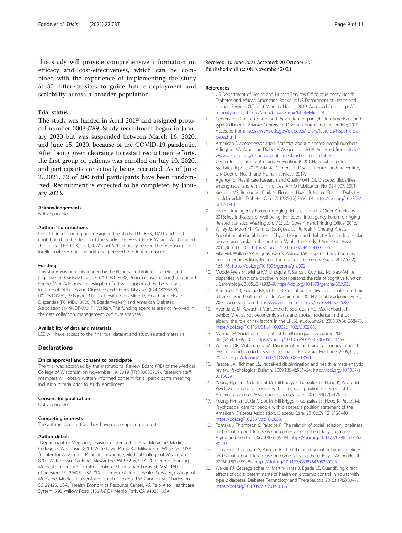<span id="page-8-0"></span>this study will provide comprehensive information on efficacy and cost-effectiveness, which can be combined with the experience of implementing the study at 30 different sites to guide future deployment and scalability across a broader population.

## Trial status

The study was funded in April 2019 and assigned protocol number 00033789. Study recruitment began in January 2020 but was suspended between March 16, 2020, and June 15, 2020, because of the COVID-19 pandemic. After being given clearance to restart recruitment efforts, the first group of patients was enrolled on July 10, 2020, and participants are actively being recruited. As of June 2, 2021, 72 of 200 total participants have been randomized. Recruitment is expected to be completed by January 2023.

## Acknowledgements

Not applicable

## Authors' contributions

LEE obtained funding and designed the study. LEE, RGK, TMD, and CED contributed to the design of the study. LEE, RGK, CED, RJW, and AZD drafted the article. LEE, RGK, CED, RJW, and AZD critically revised the manuscript for intellectual content. The authors approved the final manuscript.

## Funding

This study was primarily funded by the National Institute of Diabetes and Digestive and Kidney Diseases (R01DK118038, Principal Investigator (PI): Leonard Egede, MD). Additional investigator effort was supported by the National Institute of Diabetes and Digestive and Kidney Diseases (K24DK093699, R01DK120861, PI: Egede), National Institute on Minority Health and Health Disparities (R01MD013826, PI: Egede/Walker), and American Diabetes Association (1-19-JDF-075, PI: Walker). The funding agencies are not involved in the data collection, management, or future analyses.

#### Availability of data and materials

LEE will have access to the final trial dataset and study-related materials.

## **Declarations**

## Ethics approval and consent to participate

The trial was approved by the Institutional Review Board (IRB) of the Medical College of Wisconsin on November 19, 2019 (PRO00033789). Research staff members will obtain written informed consent for all participants meeting inclusion criteria prior to study enrollment.

#### Consent for publication

Not applicable

## Competing interests

The authors declare that they have no competing interests.

## Author details

<sup>1</sup>Department of Medicine, Division of General Internal Medicine, Medical College of Wisconsin, 8701 Watertown Plank Rd, Milwaukee, WI 53226, USA. <sup>2</sup>Center for Advancing Population Science, Medical College of Wisconsin, 8701 Watertown Plank Rd, Milwaukee, WI 53226, USA. <sup>3</sup>College of Nursing, Medical University of South Carolina, 99 Jonathan Lucas St, MSC 160, Charleston, SC 29425, USA. <sup>4</sup>Department of Public Health Services, College of Medicine, Medical University of South Carolina, 135 Cannon St., Charleston, SC 29425, USA. <sup>5</sup>Health Economics Resource Center, VA Palo Alto Healthcare System, 795 Willow Road (152 MPD), Menlo Park, CA 94025, USA.

Received: 10 June 2021 Accepted: 20 October 2021 Published online: 08 November 2021

#### References

- 1. US Department of Health and Human Services Office of Minority Health. Diabetes and African Americans. Rockville: US Department of Health and Human Services Office of Minority Health; 2019. Accessed from: [https://](https://minorityhealth.hhs.gov/omh/browse.aspx?lvl=4&lvlid=18) [minorityhealth.hhs.gov/omh/browse.aspx?lvl=4&lvlid=18](https://minorityhealth.hhs.gov/omh/browse.aspx?lvl=4&lvlid=18)
- 2. Centers for Disease Control and Prevention. Hispanic/Latino Americans and type 2 diabetes. Atlanta: Centers for Disease Control and Prevention; 2019. Accessed from: [https://www.cdc.gov/diabetes/library/features/hispanic-dia](https://www.cdc.gov/diabetes/library/features/hispanic-diabetes.html) [betes.html](https://www.cdc.gov/diabetes/library/features/hispanic-diabetes.html)
- 3. American Diabetes Association. Statistics about diabetes: overall numbers. Arlington, VA: American Diabetes Association; 2018. Accessed from [https://](https://www.diabetes.org/resources/statistics/statistics-about-diabetes) [www.diabetes.org/resources/statistics/statistics-about-diabetes](https://www.diabetes.org/resources/statistics/statistics-about-diabetes)
- 4. Center for Disease Control and Prevention (CDC). National Diabetes Statistics Report, 2017. Atlanta: Centers for Disease Control and Prevention, U.S. Dept of Health and Human Services; 2017.
- 5. Agency for Healthcare Research and Quality (AHRQ). Diabetes disparities among racial and ethnic minorities. AHRQ Publication No. 02-P007. 2001.
- 6. Kirkman MS, Briscoe VJ, Clark N, Florez H, Haas LB, Halter JB, et al. Diabetes in older adults. Diabetes Care. 2012;35(12):2650–64. [https://doi.org/10.2337/](https://doi.org/10.2337/dc12-1801) [dc12-1801](https://doi.org/10.2337/dc12-1801).
- 7. Federal Interagency Forum on Aging-Related Statistics. Older Americans 2016: key indicators of well-being. In: Federal Interagency Forum on Aging-Related Statistics. Washington, DC: U.S. Government Printing Office; 2016.
- Willey JZ, Moon YP, Kahn E, Rodriguez CJ, Rundek T, Cheung K, et al. Population attributable risks of hypertension and diabetes for cardiovascular disease and stroke in the northern Manhattan study. J Am Heart Assoc. 2014;3(5):e001106. <https://doi.org/10.1161/JAHA.114.001106>.
- 9. Villa VM, Wallace SP, Bagdasaryan S, Aranda MP. Hispanic baby boomers: health inequities likely to persist in old age. The Gerontologist. 2012;52(2): 166–76. [https://doi.org/10.1093/geront/gns002.](https://doi.org/10.1093/geront/gns002)
- 10. Moody-Ayers SY, Mehta KM, Lindquist K, Sands L, Covinsky KE. Black-White disparities in functional decline in older persons: the role of cognitive function. J Gerontology. 2005;60(7):933–9. [https://doi.org/10.1093/gerona/60.7.933.](https://doi.org/10.1093/gerona/60.7.933)
- 11. Anderson NB, Bulatao RA, Cohen B. Critical perspectives on racial and ethnic differences in health in late life. Washington, DC: National Academies Press; 2004. Accessed from <https://www.ncbi.nlm.nih.gov/books/NBK25528/>
- 12. Avendano M, Kawachi I, VanLenthe F, Boshuizen HC, Mackenbach JP, denBos V, et al. Socioeconomic status and stroke incidence in the US elderly: the role of risk factors in the EPESE study. Stroke. 2006;37(6):1368–73. [https://doi.org/10.1161/01.STR.0000221702.75002.66.](https://doi.org/10.1161/01.STR.0000221702.75002.66)
- 13. Marmot M. Social determinants of health inequalities. Lancet. 2005; 365(9464):1099–104. [https://doi.org/10.1016/S0140-6736\(05\)71146-6](https://doi.org/10.1016/S0140-6736(05)71146-6).
- 14. Williams DR, Mohammed SA. Discrimination and racial disparities in health: evidence and needed research. Journal of Behavioral Medicine. 2009;32(1): 20–47. [https://doi.org/10.1007/s10865-008-9185-0.](https://doi.org/10.1007/s10865-008-9185-0)
- 15. Pascoe EA, Richman LS. Perceived discrimination and health: a meta-analytic review. Psychological Bulletin. 2009;135(4):531–54. [https://doi.org/10.1037/a](https://doi.org/10.1037/a0016059) [0016059.](https://doi.org/10.1037/a0016059)
- 16. Young-Hyman D, de Groot M, Hill-Briggs F, Gonzalez JS, Hood K, Peyrot M. Psychosocial care for people with diabetes: a position statement of the American Diabetes Association. Diabetes Care. 2016a;38(12):2126–40.
- 17. Young-Hyman D, de Groot M, Hill-Briggs F, Gonzalez JS, Hood K, Peyrot M. Psychosocial care for people with diabetes: a position statement of the American Diabetes Association. Diabetes Care. 2016b;39(12):2126–40. <https://doi.org/10.2337/dc16-2053>.
- 18. Tomaka J, Thompson S, Palacios R. The relation of social isolation, loneliness, and social support to disease outcomes among the elderly. Journal of Aging and Health. 2006a;18(3):359–84. [https://doi.org/10.1177/08982643052](https://doi.org/10.1177/0898264305280993) [80993.](https://doi.org/10.1177/0898264305280993)
- 19. Tomaka J, Thompson S, Palacios R. The relation of social isolation, loneliness, and social support to disease outcomes among the elderly. J Aging Health. 2006b;18(3):359–84. <https://doi.org/10.1177/0898264305280993>.
- 20. Walker RJ, Gebregziabher M, Martin-Harris B, Egede LE. Quantifying direct effects of social determinants of health on glycemic control in adults with type 2 diabetes. Diabetes Technology and Therapeutcis. 2015a;17(2):80–7. <https://doi.org/10.1089/dia.2014.0166>.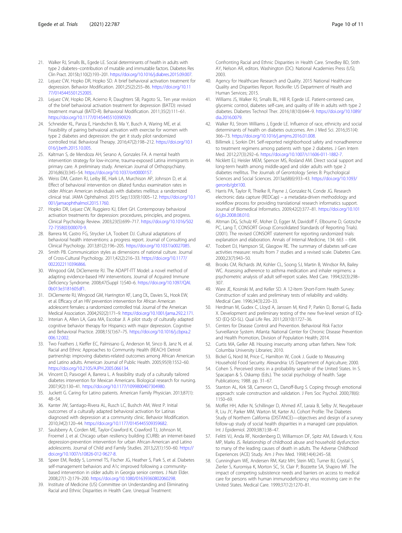- <span id="page-9-0"></span>21. Walker RJ, Smalls BL, Egede LE. Social determinants of health in adults with type 2 diabetes--contribution of mutable and immutable factors. Diabetes Res Clin Pract. 2015b;110(2):193–201. [https://doi.org/10.1016/j.diabres.2015.09.007.](https://doi.org/10.1016/j.diabres.2015.09.007)
- 22. Lejuez CW, Hopko DR, Hopko SD. A brief behavioral activation treatment for depression. Behavior Modification. 2001;25(2):255–86. [https://doi.org/10.11](https://doi.org/10.1177/0145445501252005) [77/0145445501252005.](https://doi.org/10.1177/0145445501252005)
- 23. Lejuez CW, Hopko DR, Acierno R, Daughters SB, Pagoto SL. Ten year revision of the brief behavioral activation treatment for depression (BATD): revised treatment manual (BATD-R). Behavioral Modification. 2011;35(2):111–61. <https://doi.org/10.1177/0145445510390929>.
- 24. Schneider KL, Panza E, Handschin B, Ma Y, Busch A, Waring ME, et al. Feasibility of pairing behvaioral activation with exercise for women with type 2 diabetes and depression: the get it study pilot randomized controlled trial. Behavioral Therapy. 2016;47(2):198–212. [https://doi.org/10.1](https://doi.org/10.1016/j.beth.2015.10.005) [016/j.beth.2015.10.005.](https://doi.org/10.1016/j.beth.2015.10.005)
- 25. Kaltman S, de Mendoza AH, Serano A, Gonzales FA. A mental health intervention strategy for low-income, trauma-exposed Latina immigrants in primary care. A preliminary study. American Journal of Orthopsychiatry. 2016;86(3):345–54. [https://doi.org/10.1037/ort0000157.](https://doi.org/10.1037/ort0000157)
- 26. Weiss DM, Casten RJ, Leiby BE, Hark LA, Murchison AP, Johnson D, et al. Effect of behavioral intervention on dilated fundus examination rates in older African American individuals with diabetes mellitus: a randomized clinical trial. JAMA Ophthalmol. 2015 Sep;133(9):1005–12. [https://doi.org/10.1](https://doi.org/10.1001/jamaophthalmol.2015.1760) [001/jamaophthalmol.2015.1760.](https://doi.org/10.1001/jamaophthalmol.2015.1760)
- 27. Hopko DR, Lejuez CW, Ruggiero KJ, Eifert GH. Contemporary behavioral activation treatments for depression: procedures, principles, and progress. Clinical Psychology Review. 2003;23(5):699–717. [https://doi.org/10.1016/S02](https://doi.org/10.1016/S0272-7358(03)00070-9) [72-7358\(03\)00070-9](https://doi.org/10.1016/S0272-7358(03)00070-9).
- 28. Barrera M, Castro FG, Strycker LA, Toobert DJ. Cultural adaptations of behavioral health interventions: a progress report. Journal of Consulting and Clinical Psychology. 2013;81(2):196–205. <https://doi.org/10.1037/a0027085>.
- 29. Smith PB. Communication styles as dimensions of national culture. Journal of Cross-Cultural Psychology. 2011;42(2):216–33. [https://doi.org/10.1177/](https://doi.org/10.1177/0022022110396866) [0022022110396866](https://doi.org/10.1177/0022022110396866).
- 30. Wingood GM, DiClemente RJ. The ADAPT-ITT Model: a novel method of adapting evidence-based HIV interventions. Journal of Acquired Immune Deficiency Syndrome. 2008;47(Suppl 1):S40–6. [https://doi.org/10.1097/QAI.](https://doi.org/10.1097/QAI.0b013e3181605df1) [0b013e3181605df1.](https://doi.org/10.1097/QAI.0b013e3181605df1)
- 31. DiClemente RJ, Wingood GM, Harrington KF, Lang DL, Davies SL, Hook EW, et al. Efficacy of an HIV prevention intervention for African American adolescent females: a randomized controlled trial. Journal of the American Medical Association. 2004;292(2):171–9. <https://doi.org/10.1001/jama.292.2.171>.
- 32. Interian A, Allen LA, Gara MA, Escobar JI. A pilot study of culturally adapted cognitive behavior therapy for Hispanics with major depression. Cognitive and Behavioral Practice. 2008;15(1):67–75. [https://doi.org/10.1016/j.cbpra.2](https://doi.org/10.1016/j.cbpra.2006.12.002) [006.12.002](https://doi.org/10.1016/j.cbpra.2006.12.002).
- 33. Two Feathers J, Kieffer EC, Palmisano G, Anderson M, Sinco B, Janz N, et al. Racial and Ethnic Approaches to Community Health (REACH) Detroit partnership: improving diabetes-related outcomes among African American and Latino adults. American Journal of Public Health. 2005;95(9):1552–60. <https://doi.org/10.2105/AJPH.2005.066134>.
- 34. Vincent D, Pasvogel A, Barrera L. A feasibility study of a culturally tailored diabetes intervention for Mexican Americans. Biological research for nursing. 2007;9(2):130–41. [https://doi.org/10.1177/1099800407304980.](https://doi.org/10.1177/1099800407304980)
- 35. Juckett G. Caring for Latino patients. American Family Physician. 2013;87(1): 48–54.
- 36. Kanter JW, Santiago-Rivera AL, Rusch LC, Bushch AM, West P. Initial outcomes of a culturally adapted behavioral activation for Latinas diagnosed with depression at a community clinic. Behavior Modification. 2010;34(2):120–44. <https://doi.org/10.1177/0145445509359682>.
- 37. Saulsberry A, Corden ME, Taylor-Crawford K, Crawford TJ, Johnson M, Froemel J, et al. Chicago urban resiliency building (CURB): an internet-based depression-prevention intervention for urban African-American and Latino adolescents. Journal of Child and Family Studies. 2013;22(1):150–60. [https://](https://doi.org/10.1007/s10826-012-9627-8) [doi.org/10.1007/s10826-012-9627-8](https://doi.org/10.1007/s10826-012-9627-8).
- 38. Speer EM, Reddy S, Lommel TS, Fischer JG, Heather S, Park S, et al. Diabetes self-management behaviors and A1c improved following a communitybased intervention in older adults in Georgia senior centers. J Nutr Elder. 2008;27(1-2):179–200. [https://doi.org/10.1080/01639360802060298.](https://doi.org/10.1080/01639360802060298)
- 39. Institute of Medicine (US) Committee on Understanding and Eliminating Racial and Ethnic Disparities in Health Care. Unequal Treatment:

Confronting Racial and Ethnic Disparities in Health Care. Smedley BD, Stith AY, Nelson AR, editors. Washington (DC): National Academies Press (US); 2003.

- 40. Agency for Healthcare Research and Quality. 2015 National Healthcare Quality and Disparities Report. Rockville: US Department of Health and Human Services; 2015.
- 41. Williams JS, Walker RJ, Smalls BL, Hill R, Egede LE. Patient-centered care, glycemic control, diabetes self-care, and quality of life in adults with type 2 diabetes. Diabetes Technol Ther. 2016;18(10):644–9. [https://doi.org/10.1089/](https://doi.org/10.1089/dia.2016.0079) [dia.2016.0079.](https://doi.org/10.1089/dia.2016.0079)
- 42. Walker RJ, Strom Williams J, Egede LE. Influence of race, ethnicity and social determinants of health on diabetes outcomes. Am J Med Sci. 2016;351(4): 366–73. [https://doi.org/10.1016/j.amjms.2016.01.008.](https://doi.org/10.1016/j.amjms.2016.01.008)
- 43. Billimek J, Sorkin DH. Self-reported neighborhood safety and nonadherence to treatment regimens among patients with type 2 diabetes. J Gen Intern Med. 2012;27(3):292–6. [https://doi.org/10.1007/s11606-011-1882-7.](https://doi.org/10.1007/s11606-011-1882-7)
- 44. Nicklett EJ, Heisler MEM, Spencer MS, Rosland AM. Direct social support and long-term health among middle-aged and older adults with type 2 diabetes mellitus. The Journals of Gerontology Series B: Psychological Sciences and Social Sciences. 2013a;68(6):933–43. [https://doi.org/10.1093/](https://doi.org/10.1093/geronb/gbt100) [geronb/gbt100](https://doi.org/10.1093/geronb/gbt100).
- 45. Harris PA, Taylor R, Thielke R, Payne J, Gonzalez N, Conde JG. Research electronic data capture (REDCap) – a metadata-driven methodology and workflow process for providing translational research informatics support. Journal of Biomedical Informatics. 2009;42(2):377–81. [https://doi.org/10.101](https://doi.org/10.1016/j.jbi.2008.08.010) [6/j.jbi.2008.08.010](https://doi.org/10.1016/j.jbi.2008.08.010).
- 46. Altman DG, Schulz KF, Moher D, Egger M, Davidoff F, Elbourne D, Gotzsche PC, Lang T, CONSORT Group (Consolidated Standards of Reporting Trials). (2001). The revised CONSORT statement for reporting randomized trials: explanation and elaboration. Annals of Internal Medicine, 134: 663 – 694.
- 47. Toobert DJ, Hampson SE, Glasgow RE. The summary of diabetes self-care activities measure: results from 7 studies and a revised scale. Diabetes Care. 2000;23(7):943–50.
- 48. Brooks CM, Richards JM, Kohler CL, Soong SJ, Martin B, Windsor RA, Bailey WC. Assessing adherence to asthma medication and inhaler regimens: a psychometric analysis of adult self-report scales. Med Care. 1994;32(3):298– 307.
- 49. Ware JE, Kosinski M, and Keller SD. A 12-Item Short-Form Health Survey: Construction of scales and preliminary tests of reliability and validity. Medical Care. 1996;34(3):220–33.
- 50. Herdman M, Gudex C, Lloyd A, Janssen M, Kind P, Parkin D, Bonsel G, Badia X. Development and preliminary testing of the new five-level version of EQ-5D (EQ-5D-5L). Qual Life Res. 2011;20(10):1727–36.
- 51. Centers for Disease Control and Prevention. Behavioral Risk Factor Surveillance System. Atlanta: National Center for Chronic Disease Prevention and Health Promotion, Division of Population Health; 2014.
- 52. Curtis MA, Geller AB. Housing insecurity among urban fathers. New York: Columbia University Libraries; 2010.
- 53. Bickel G, Nord M, Price C, Hamilton W, Cook J. Guide to Measuring Household Food Security. Alexandria: US Department of Agriculture; 2000.
- 54. Cohen S. Perceived stress in a probability sample of the United States. In S. Spacapan & S. Oskamp (Eds.). The social psychology of health. Sage Publications; 1988. pp. 31–67.
- 55. Stanton AL, Kirk SB, Cameron CL, Danoff-Burg S. Coping through emotional approach: scale construction and validation. J Pers Soc Psychol. 2000;78(6): 1150–69.
- 56. Moffet HH, Adler N, Schillinger D, Ahmed AT, Laraia B, Selby JV, Neugebauer R, Liu JY, Parker MM, Warton M, Karter AJ. Cohort Profile: The Diabetes Study of Northern California (DISTANCE)—objectives and design of a survey follow-up study of social health disparities in a managed care population. Int J Epidemiol. 2009;38(1):38–47.
- 57. Felitti VJ, Anda RF, Nordenberg D, Williamson DF, Spitz AM, Edwards V, Koss MP, Marks JS. Relationship of childhood abuse and household dysfunction to many of the leading causes of death in adults. The Adverse Childhood Experiences (ACE) Study. Am J Prev Med. 1998;14(4):245–58.
- 58. Cunningham WE, Andersen RM, Katz MH, Stein MD, Turner BJ, Crystal S, Zierler S, Kuromiya K, Morton SC, St. Clair P, Bozzette SA, Shapiro MF. The impact of competing subsistence needs and barriers on access to medical care for persons with human immunodeficiency virus receiving care in the United States. Medical Care. 1999;37(12):1270–81.